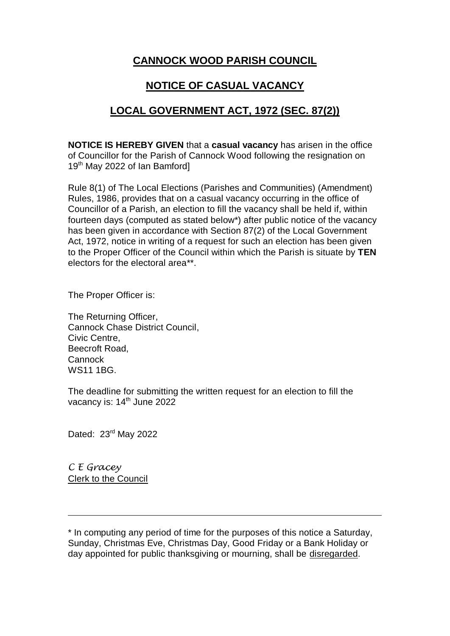## **CANNOCK WOOD PARISH COUNCIL**

## **NOTICE OF CASUAL VACANCY**

## **LOCAL GOVERNMENT ACT, 1972 (SEC. 87(2))**

**NOTICE IS HEREBY GIVEN** that a **casual vacancy** has arisen in the office of Councillor for the Parish of Cannock Wood following the resignation on 19<sup>th</sup> May 2022 of Ian Bamford]

Rule 8(1) of The Local Elections (Parishes and Communities) (Amendment) Rules, 1986, provides that on a casual vacancy occurring in the office of Councillor of a Parish, an election to fill the vacancy shall be held if, within fourteen days (computed as stated below\*) after public notice of the vacancy has been given in accordance with Section 87(2) of the Local Government Act, 1972, notice in writing of a request for such an election has been given to the Proper Officer of the Council within which the Parish is situate by **TEN** electors for the electoral area\*\*.

The Proper Officer is:

The Returning Officer, Cannock Chase District Council, Civic Centre, Beecroft Road, Cannock WS11 1BG.

The deadline for submitting the written request for an election to fill the vacancy is: 14<sup>th</sup> June 2022

Dated: 23<sup>rd</sup> May 2022

*C E Gracey* Clerk to the Council

\* In computing any period of time for the purposes of this notice a Saturday, Sunday, Christmas Eve, Christmas Day, Good Friday or a Bank Holiday or day appointed for public thanksgiving or mourning, shall be disregarded.

 $\overline{a}$